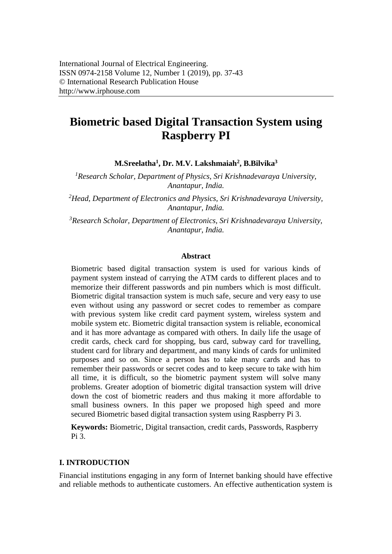# **Biometric based Digital Transaction System using Raspberry PI**

**M.Sreelatha<sup>1</sup> , Dr. M.V. Lakshmaiah<sup>2</sup> , B.Bilvika<sup>3</sup>**

*<sup>1</sup>Research Scholar, Department of Physics, Sri Krishnadevaraya University, Anantapur, India.*

*<sup>2</sup>Head, Department of Electronics and Physics, Sri Krishnadevaraya University, Anantapur, India.*

*<sup>3</sup>Research Scholar, Department of Electronics, Sri Krishnadevaraya University, Anantapur, India.*

### **Abstract**

Biometric based digital transaction system is used for various kinds of payment system instead of carrying the ATM cards to different places and to memorize their different passwords and pin numbers which is most difficult. Biometric digital transaction system is much safe, secure and very easy to use even without using any password or secret codes to remember as compare with previous system like credit card payment system, wireless system and mobile system etc. Biometric digital transaction system is reliable, economical and it has more advantage as compared with others. In daily life the usage of credit cards, check card for shopping, bus card, subway card for travelling, student card for library and department, and many kinds of cards for unlimited purposes and so on. Since a person has to take many cards and has to remember their passwords or secret codes and to keep secure to take with him all time, it is difficult, so the biometric payment system will solve many problems. Greater adoption of biometric digital transaction system will drive down the cost of biometric readers and thus making it more affordable to small business owners. In this paper we proposed high speed and more secured Biometric based digital transaction system using Raspberry Pi 3.

**Keywords:** Biometric, Digital transaction, credit cards, Passwords, Raspberry Pi 3.

## **I. INTRODUCTION**

Financial institutions engaging in any form of Internet banking should have effective and reliable methods to authenticate customers. An effective authentication system is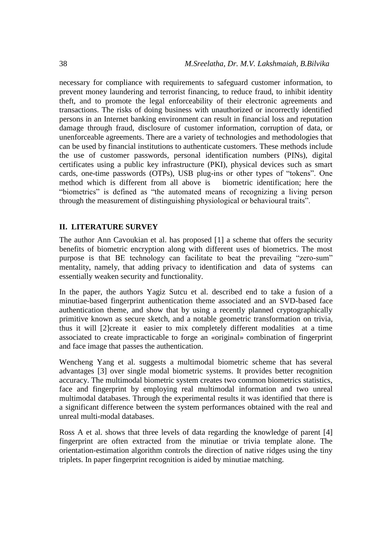necessary for compliance with requirements to safeguard customer information, to prevent money laundering and terrorist financing, to reduce fraud, to inhibit identity theft, and to promote the legal enforceability of their electronic agreements and transactions. The risks of doing business with unauthorized or incorrectly identified persons in an Internet banking environment can result in financial loss and reputation damage through fraud, disclosure of customer information, corruption of data, or unenforceable agreements. There are a variety of technologies and methodologies that can be used by financial institutions to authenticate customers. These methods include the use of customer passwords, personal identification numbers (PINs), digital certificates using a public key infrastructure (PKI), physical devices such as smart cards, one-time passwords (OTPs), USB plug-ins or other types of "tokens". One method which is different from all above is biometric identification; here the "biometrics" is defined as "the automated means of recognizing a living person through the measurement of distinguishing physiological or behavioural traits".

# **II. LITERATURE SURVEY**

The author Ann Cavoukian et al. has proposed [1] a scheme that offers the security benefits of biometric encryption along with different uses of biometrics. The most purpose is that BE technology can facilitate to beat the prevailing "zero-sum" mentality, namely, that adding privacy to identification and data of systems can essentially weaken security and functionality.

In the paper, the authors Yagiz Sutcu et al. described end to take a fusion of a minutiae-based fingerprint authentication theme associated and an SVD-based face authentication theme, and show that by using a recently planned cryptographically primitive known as secure sketch, and a notable geometric transformation on trivia, thus it will [2]create it easier to mix completely different modalities at a time associated to create impracticable to forge an «original» combination of fingerprint and face image that passes the authentication.

Wencheng Yang et al. suggests a multimodal biometric scheme that has several advantages [3] over single modal biometric systems. It provides better recognition accuracy. The multimodal biometric system creates two common biometrics statistics, face and fingerprint by employing real multimodal information and two unreal multimodal databases. Through the experimental results it was identified that there is a significant difference between the system performances obtained with the real and unreal multi-modal databases.

Ross A et al. shows that three levels of data regarding the knowledge of parent [4] fingerprint are often extracted from the minutiae or trivia template alone. The orientation-estimation algorithm controls the direction of native ridges using the tiny triplets. In paper fingerprint recognition is aided by minutiae matching.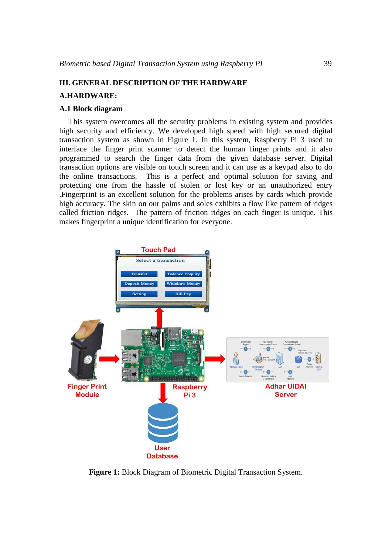# **III. GENERAL DESCRIPTION OF THE HARDWARE**

#### **A.HARDWARE:**

#### **A.1 Block diagram**

This system overcomes all the security problems in existing system and provides high security and efficiency. We developed high speed with high secured digital transaction system as shown in Figure 1. In this system, Raspberry Pi 3 used to interface the finger print scanner to detect the human finger prints and it also programmed to search the finger data from the given database server. Digital transaction options are visible on touch screen and it can use as a keypad also to do the online transactions. This is a perfect and optimal solution for saving and protecting one from the hassle of stolen or lost key or an unauthorized entry .Fingerprint is an excellent solution for the problems arises by cards which provide high accuracy. The skin on our palms and soles exhibits a flow like pattern of ridges called friction ridges. The pattern of friction ridges on each finger is unique. This makes fingerprint a unique identification for everyone.



**Figure 1:** Block Diagram of Biometric Digital Transaction System.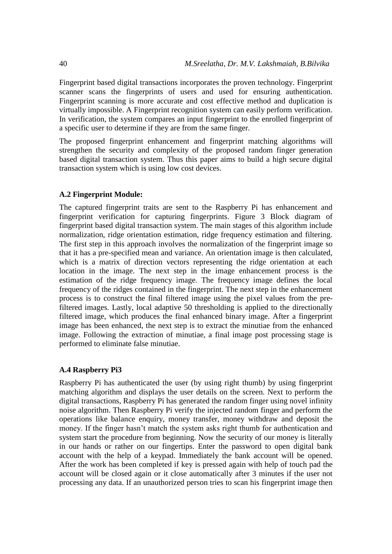Fingerprint based digital transactions incorporates the proven technology. Fingerprint scanner scans the fingerprints of users and used for ensuring authentication. Fingerprint scanning is more accurate and cost effective method and duplication is virtually impossible. A Fingerprint recognition system can easily perform verification. In verification, the system compares an input fingerprint to the enrolled fingerprint of a specific user to determine if they are from the same finger.

The proposed fingerprint enhancement and fingerprint matching algorithms will strengthen the security and complexity of the proposed random finger generation based digital transaction system. Thus this paper aims to build a high secure digital transaction system which is using low cost devices.

# **A.2 Fingerprint Module:**

The captured fingerprint traits are sent to the Raspberry Pi has enhancement and fingerprint verification for capturing fingerprints. Figure 3 Block diagram of fingerprint based digital transaction system. The main stages of this algorithm include normalization, ridge orientation estimation, ridge frequency estimation and filtering. The first step in this approach involves the normalization of the fingerprint image so that it has a pre-specified mean and variance. An orientation image is then calculated, which is a matrix of direction vectors representing the ridge orientation at each location in the image. The next step in the image enhancement process is the estimation of the ridge frequency image. The frequency image defines the local frequency of the ridges contained in the fingerprint. The next step in the enhancement process is to construct the final filtered image using the pixel values from the prefiltered images. Lastly, local adaptive 50 thresholding is applied to the directionally filtered image, which produces the final enhanced binary image. After a fingerprint image has been enhanced, the next step is to extract the minutiae from the enhanced image. Following the extraction of minutiae, a final image post processing stage is performed to eliminate false minutiae.

# **A.4 Raspberry Pi3**

Raspberry Pi has authenticated the user (by using right thumb) by using fingerprint matching algorithm and displays the user details on the screen. Next to perform the digital transactions, Raspberry Pi has generated the random finger using novel infinity noise algorithm. Then Raspberry Pi verify the injected random finger and perform the operations like balance enquiry, money transfer, money withdraw and deposit the money. If the finger hasn't match the system asks right thumb for authentication and system start the procedure from beginning. Now the security of our money is literally in our hands or rather on our fingertips. Enter the password to open digital bank account with the help of a keypad. Immediately the bank account will be opened. After the work has been completed if key is pressed again with help of touch pad the account will be closed again or it close automatically after 3 minutes if the user not processing any data. If an unauthorized person tries to scan his fingerprint image then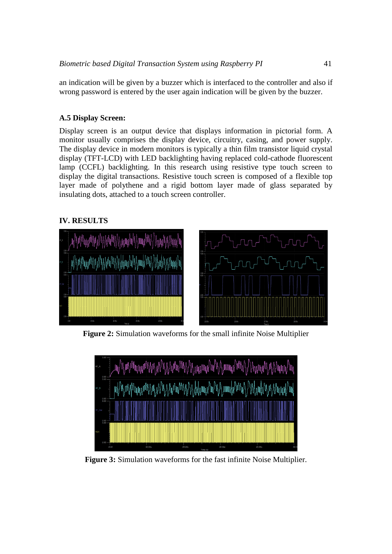an indication will be given by a buzzer which is interfaced to the controller and also if wrong password is entered by the user again indication will be given by the buzzer.

# **A.5 Display Screen:**

Display screen is an output device that displays information in pictorial form. A monitor usually comprises the display device, circuitry, casing, and power supply. The display device in modern monitors is typically a thin film transistor liquid crystal display (TFT-LCD) with LED backlighting having replaced cold-cathode fluorescent lamp (CCFL) backlighting. In this research using resistive type touch screen to display the digital transactions. Resistive touch screen is composed of a flexible top layer made of polythene and a rigid bottom layer made of glass separated by insulating dots, attached to a touch screen controller.

# **IV. RESULTS**



**Figure 2:** Simulation waveforms for the small infinite Noise Multiplier



**Figure 3:** Simulation waveforms for the fast infinite Noise Multiplier.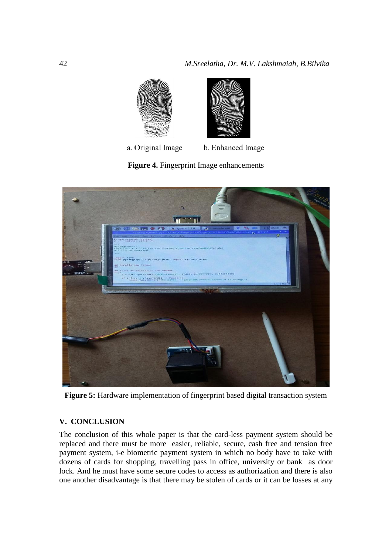

a. Original Image b. Enhanced Image

**Figure 4.** Fingerprint Image enhancements



**Figure 5:** Hardware implementation of fingerprint based digital transaction system

# **V. CONCLUSION**

The conclusion of this whole paper is that the card-less payment system should be replaced and there must be more easier, reliable, secure, cash free and tension free payment system, i-e biometric payment system in which no body have to take with dozens of cards for shopping, travelling pass in office, university or bank as door lock. And he must have some secure codes to access as authorization and there is also one another disadvantage is that there may be stolen of cards or it can be losses at any